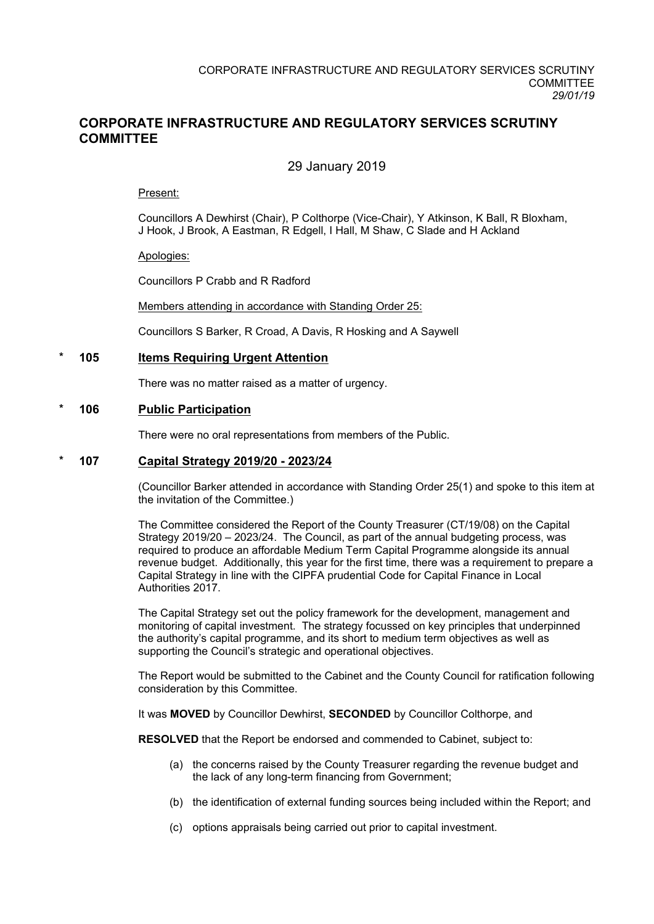## **CORPORATE INFRASTRUCTURE AND REGULATORY SERVICES SCRUTINY COMMITTEE**

## 29 January 2019

#### Present:

Councillors A Dewhirst (Chair), P Colthorpe (Vice-Chair), Y Atkinson, K Ball, R Bloxham, J Hook, J Brook, A Eastman, R Edgell, I Hall, M Shaw, C Slade and H Ackland

#### Apologies:

Councillors P Crabb and R Radford

Members attending in accordance with Standing Order 25:

Councillors S Barker, R Croad, A Davis, R Hosking and A Saywell

#### **\* 105 Items Requiring Urgent Attention**

There was no matter raised as a matter of urgency.

#### **\* 106 Public Participation**

There were no oral representations from members of the Public.

#### **\* 107 Capital Strategy 2019/20 - 2023/24**

(Councillor Barker attended in accordance with Standing Order 25(1) and spoke to this item at the invitation of the Committee.)

The Committee considered the Report of the County Treasurer (CT/19/08) on the Capital Strategy 2019/20 – 2023/24. The Council, as part of the annual budgeting process, was required to produce an affordable Medium Term Capital Programme alongside its annual revenue budget. Additionally, this year for the first time, there was a requirement to prepare a Capital Strategy in line with the CIPFA prudential Code for Capital Finance in Local Authorities 2017.

The Capital Strategy set out the policy framework for the development, management and monitoring of capital investment. The strategy focussed on key principles that underpinned the authority's capital programme, and its short to medium term objectives as well as supporting the Council's strategic and operational objectives.

The Report would be submitted to the Cabinet and the County Council for ratification following consideration by this Committee.

It was **MOVED** by Councillor Dewhirst, **SECONDED** by Councillor Colthorpe, and

**RESOLVED** that the Report be endorsed and commended to Cabinet, subject to:

- (a) the concerns raised by the County Treasurer regarding the revenue budget and the lack of any long-term financing from Government;
- (b) the identification of external funding sources being included within the Report; and
- (c) options appraisals being carried out prior to capital investment.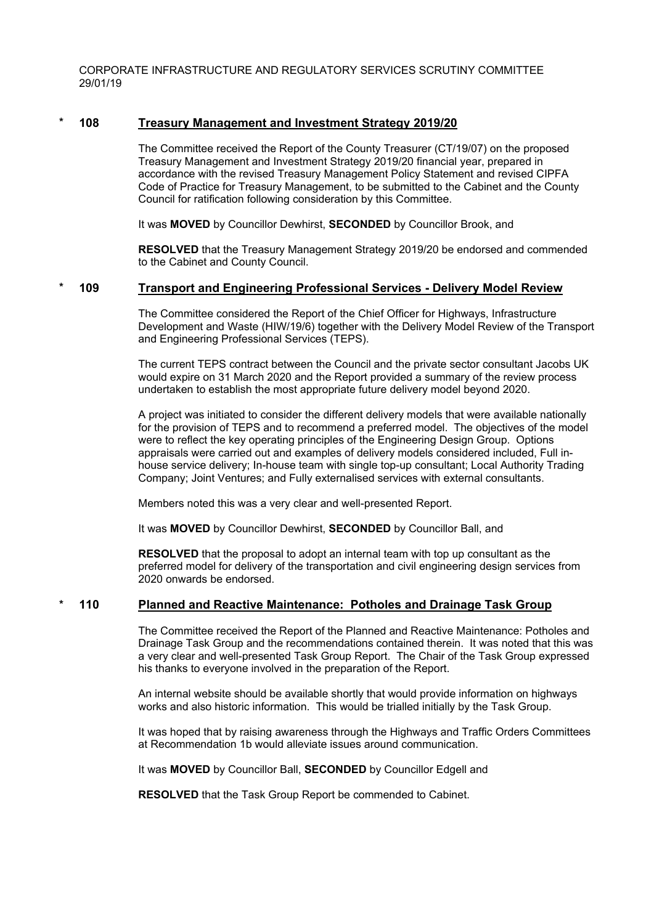CORPORATE INFRASTRUCTURE AND REGULATORY SERVICES SCRUTINY COMMITTEE 29/01/19

#### **\* 108 Treasury Management and Investment Strategy 2019/20**

The Committee received the Report of the County Treasurer (CT/19/07) on the proposed Treasury Management and Investment Strategy 2019/20 financial year, prepared in accordance with the revised Treasury Management Policy Statement and revised CIPFA Code of Practice for Treasury Management, to be submitted to the Cabinet and the County Council for ratification following consideration by this Committee.

It was **MOVED** by Councillor Dewhirst, **SECONDED** by Councillor Brook, and

**RESOLVED** that the Treasury Management Strategy 2019/20 be endorsed and commended to the Cabinet and County Council.

#### **\* 109 Transport and Engineering Professional Services - Delivery Model Review**

The Committee considered the Report of the Chief Officer for Highways, Infrastructure Development and Waste (HIW/19/6) together with the Delivery Model Review of the Transport and Engineering Professional Services (TEPS).

The current TEPS contract between the Council and the private sector consultant Jacobs UK would expire on 31 March 2020 and the Report provided a summary of the review process undertaken to establish the most appropriate future delivery model beyond 2020.

A project was initiated to consider the different delivery models that were available nationally for the provision of TEPS and to recommend a preferred model. The objectives of the model were to reflect the key operating principles of the Engineering Design Group. Options appraisals were carried out and examples of delivery models considered included, Full inhouse service delivery; In-house team with single top-up consultant; Local Authority Trading Company; Joint Ventures; and Fully externalised services with external consultants.

Members noted this was a very clear and well-presented Report.

It was **MOVED** by Councillor Dewhirst, **SECONDED** by Councillor Ball, and

**RESOLVED** that the proposal to adopt an internal team with top up consultant as the preferred model for delivery of the transportation and civil engineering design services from 2020 onwards be endorsed.

#### **\* 110 Planned and Reactive Maintenance: Potholes and Drainage Task Group**

The Committee received the Report of the Planned and Reactive Maintenance: Potholes and Drainage Task Group and the recommendations contained therein. It was noted that this was a very clear and well-presented Task Group Report. The Chair of the Task Group expressed his thanks to everyone involved in the preparation of the Report.

An internal website should be available shortly that would provide information on highways works and also historic information. This would be trialled initially by the Task Group.

It was hoped that by raising awareness through the Highways and Traffic Orders Committees at Recommendation 1b would alleviate issues around communication.

It was **MOVED** by Councillor Ball, **SECONDED** by Councillor Edgell and

**RESOLVED** that the Task Group Report be commended to Cabinet.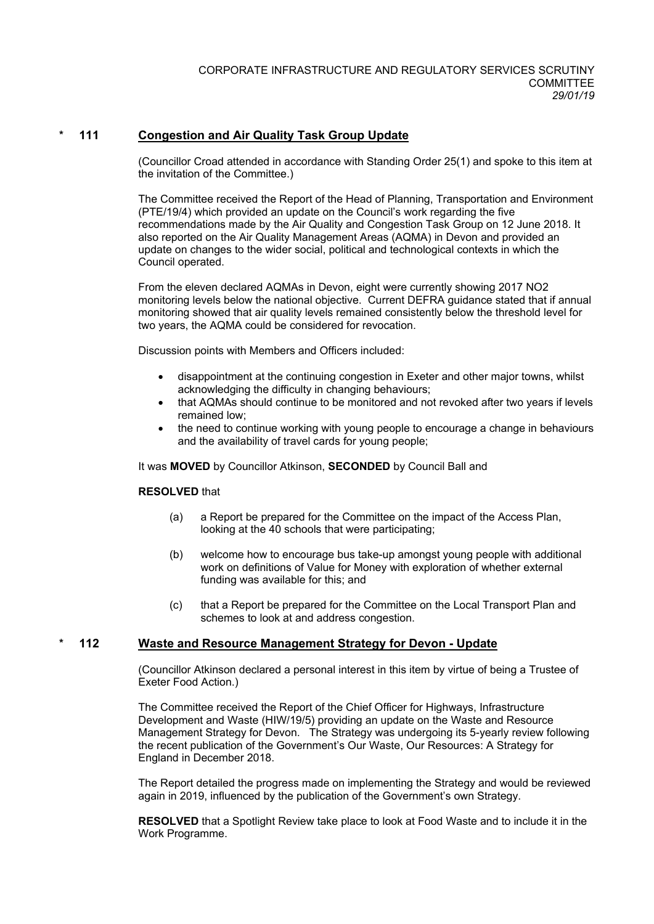### **\* 111 Congestion and Air Quality Task Group Update**

(Councillor Croad attended in accordance with Standing Order 25(1) and spoke to this item at the invitation of the Committee.)

The Committee received the Report of the Head of Planning, Transportation and Environment (PTE/19/4) which provided an update on the Council's work regarding the five recommendations made by the Air Quality and Congestion Task Group on 12 June 2018. It also reported on the Air Quality Management Areas (AQMA) in Devon and provided an update on changes to the wider social, political and technological contexts in which the Council operated.

From the eleven declared AQMAs in Devon, eight were currently showing 2017 NO2 monitoring levels below the national objective. Current DEFRA guidance stated that if annual monitoring showed that air quality levels remained consistently below the threshold level for two years, the AQMA could be considered for revocation.

Discussion points with Members and Officers included:

- disappointment at the continuing congestion in Exeter and other major towns, whilst acknowledging the difficulty in changing behaviours;
- that AQMAs should continue to be monitored and not revoked after two years if levels remained low;
- the need to continue working with young people to encourage a change in behaviours and the availability of travel cards for young people;

It was **MOVED** by Councillor Atkinson, **SECONDED** by Council Ball and

#### **RESOLVED** that

- (a) a Report be prepared for the Committee on the impact of the Access Plan, looking at the 40 schools that were participating;
- (b) welcome how to encourage bus take-up amongst young people with additional work on definitions of Value for Money with exploration of whether external funding was available for this; and
- (c) that a Report be prepared for the Committee on the Local Transport Plan and schemes to look at and address congestion.

#### **\* 112 Waste and Resource Management Strategy for Devon - Update**

(Councillor Atkinson declared a personal interest in this item by virtue of being a Trustee of Exeter Food Action.)

The Committee received the Report of the Chief Officer for Highways, Infrastructure Development and Waste (HIW/19/5) providing an update on the Waste and Resource Management Strategy for Devon. The Strategy was undergoing its 5-yearly review following the recent publication of the Government's Our Waste, Our Resources: A Strategy for England in December 2018.

The Report detailed the progress made on implementing the Strategy and would be reviewed again in 2019, influenced by the publication of the Government's own Strategy.

**RESOLVED** that a Spotlight Review take place to look at Food Waste and to include it in the Work Programme.